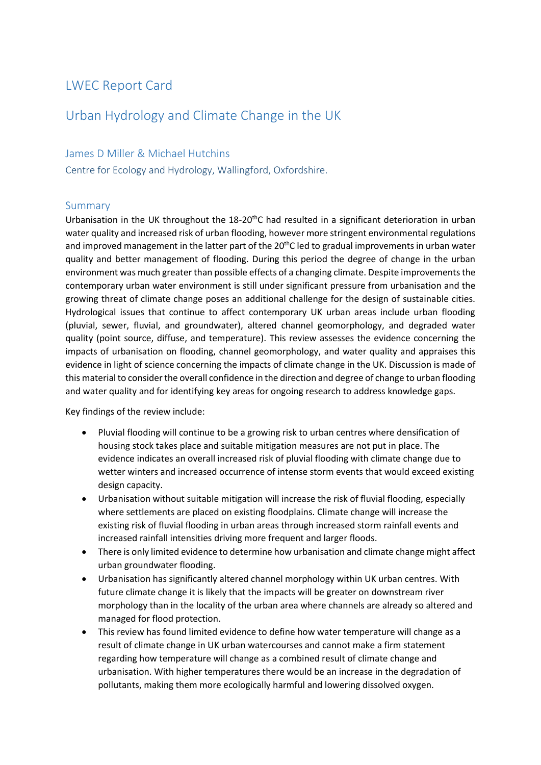# LWEC Report Card

## Urban Hydrology and Climate Change in the UK

## James D Miller & Michael Hutchins

Centre for Ecology and Hydrology, Wallingford, Oxfordshire.

## Summary

Urbanisation in the UK throughout the 18-20<sup>th</sup>C had resulted in a significant deterioration in urban water quality and increased risk of urban flooding, however more stringent environmental regulations and improved management in the latter part of the 20<sup>th</sup>C led to gradual improvements in urban water quality and better management of flooding. During this period the degree of change in the urban environment was much greater than possible effects of a changing climate. Despite improvements the contemporary urban water environment is still under significant pressure from urbanisation and the growing threat of climate change poses an additional challenge for the design of sustainable cities. Hydrological issues that continue to affect contemporary UK urban areas include urban flooding (pluvial, sewer, fluvial, and groundwater), altered channel geomorphology, and degraded water quality (point source, diffuse, and temperature). This review assesses the evidence concerning the impacts of urbanisation on flooding, channel geomorphology, and water quality and appraises this evidence in light of science concerning the impacts of climate change in the UK. Discussion is made of this material to consider the overall confidence in the direction and degree of change to urban flooding and water quality and for identifying key areas for ongoing research to address knowledge gaps.

Key findings of the review include:

- Pluvial flooding will continue to be a growing risk to urban centres where densification of housing stock takes place and suitable mitigation measures are not put in place. The evidence indicates an overall increased risk of pluvial flooding with climate change due to wetter winters and increased occurrence of intense storm events that would exceed existing design capacity.
- Urbanisation without suitable mitigation will increase the risk of fluvial flooding, especially where settlements are placed on existing floodplains. Climate change will increase the existing risk of fluvial flooding in urban areas through increased storm rainfall events and increased rainfall intensities driving more frequent and larger floods.
- There is only limited evidence to determine how urbanisation and climate change might affect urban groundwater flooding.
- Urbanisation has significantly altered channel morphology within UK urban centres. With future climate change it is likely that the impacts will be greater on downstream river morphology than in the locality of the urban area where channels are already so altered and managed for flood protection.
- This review has found limited evidence to define how water temperature will change as a result of climate change in UK urban watercourses and cannot make a firm statement regarding how temperature will change as a combined result of climate change and urbanisation. With higher temperatures there would be an increase in the degradation of pollutants, making them more ecologically harmful and lowering dissolved oxygen.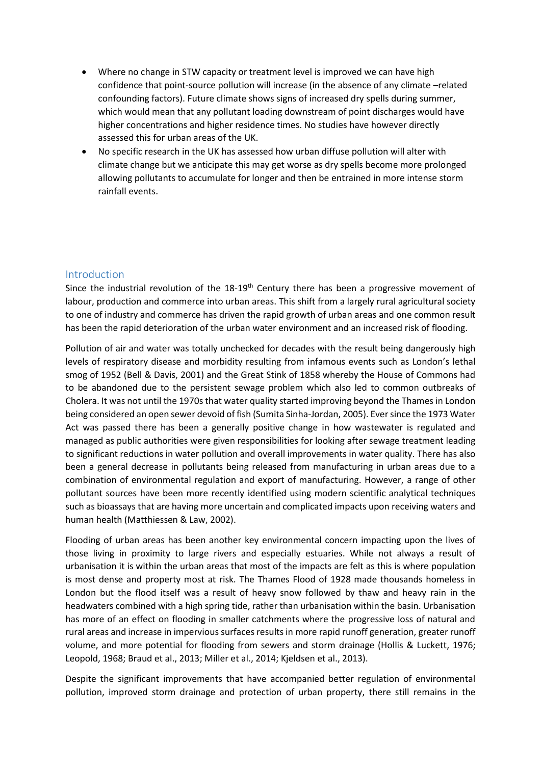- Where no change in STW capacity or treatment level is improved we can have high confidence that point-source pollution will increase (in the absence of any climate –related confounding factors). Future climate shows signs of increased dry spells during summer, which would mean that any pollutant loading downstream of point discharges would have higher concentrations and higher residence times. No studies have however directly assessed this for urban areas of the UK.
- No specific research in the UK has assessed how urban diffuse pollution will alter with climate change but we anticipate this may get worse as dry spells become more prolonged allowing pollutants to accumulate for longer and then be entrained in more intense storm rainfall events.

## Introduction

Since the industrial revolution of the 18-19<sup>th</sup> Century there has been a progressive movement of labour, production and commerce into urban areas. This shift from a largely rural agricultural society to one of industry and commerce has driven the rapid growth of urban areas and one common result has been the rapid deterioration of the urban water environment and an increased risk of flooding.

Pollution of air and water was totally unchecked for decades with the result being dangerously high levels of respiratory disease and morbidity resulting from infamous events such as London's lethal smog of 1952 (Bell & Davis, 2001) and the Great Stink of 1858 whereby the House of Commons had to be abandoned due to the persistent sewage problem which also led to common outbreaks of Cholera. It was not until the 1970s that water quality started improving beyond the Thames in London being considered an open sewer devoid of fish (Sumita Sinha-Jordan, 2005). Ever since the 1973 Water Act was passed there has been a generally positive change in how wastewater is regulated and managed as public authorities were given responsibilities for looking after sewage treatment leading to significant reductions in water pollution and overall improvements in water quality. There has also been a general decrease in pollutants being released from manufacturing in urban areas due to a combination of environmental regulation and export of manufacturing. However, a range of other pollutant sources have been more recently identified using modern scientific analytical techniques such as bioassays that are having more uncertain and complicated impacts upon receiving waters and human health (Matthiessen & Law, 2002).

Flooding of urban areas has been another key environmental concern impacting upon the lives of those living in proximity to large rivers and especially estuaries. While not always a result of urbanisation it is within the urban areas that most of the impacts are felt as this is where population is most dense and property most at risk. The Thames Flood of 1928 made thousands homeless in London but the flood itself was a result of heavy snow followed by thaw and heavy rain in the headwaters combined with a high spring tide, rather than urbanisation within the basin. Urbanisation has more of an effect on flooding in smaller catchments where the progressive loss of natural and rural areas and increase in impervious surfaces results in more rapid runoff generation, greater runoff volume, and more potential for flooding from sewers and storm drainage (Hollis & Luckett, 1976; Leopold, 1968; Braud et al., 2013; Miller et al., 2014; Kjeldsen et al., 2013).

Despite the significant improvements that have accompanied better regulation of environmental pollution, improved storm drainage and protection of urban property, there still remains in the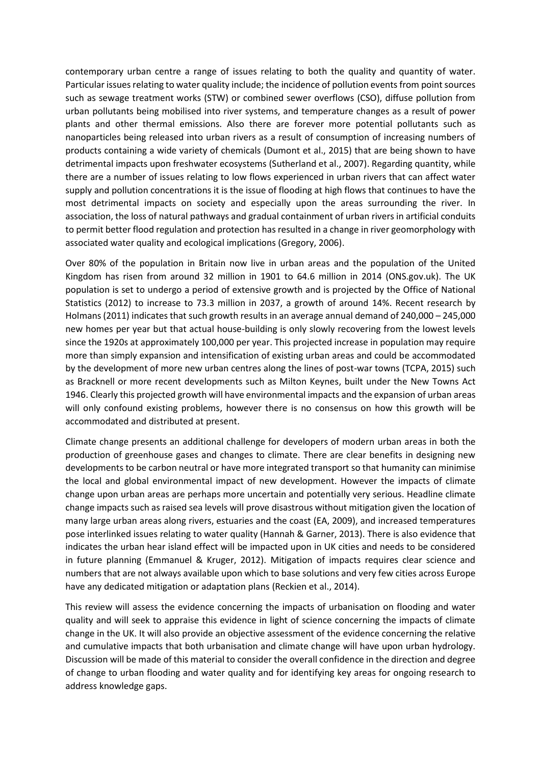contemporary urban centre a range of issues relating to both the quality and quantity of water. Particular issues relating to water quality include; the incidence of pollution events from point sources such as sewage treatment works (STW) or combined sewer overflows (CSO), diffuse pollution from urban pollutants being mobilised into river systems, and temperature changes as a result of power plants and other thermal emissions. Also there are forever more potential pollutants such as nanoparticles being released into urban rivers as a result of consumption of increasing numbers of products containing a wide variety of chemicals (Dumont et al., 2015) that are being shown to have detrimental impacts upon freshwater ecosystems (Sutherland et al., 2007). Regarding quantity, while there are a number of issues relating to low flows experienced in urban rivers that can affect water supply and pollution concentrations it is the issue of flooding at high flows that continues to have the most detrimental impacts on society and especially upon the areas surrounding the river. In association, the loss of natural pathways and gradual containment of urban rivers in artificial conduits to permit better flood regulation and protection has resulted in a change in river geomorphology with associated water quality and ecological implications (Gregory, 2006).

Over 80% of the population in Britain now live in urban areas and the population of the United Kingdom has risen from around 32 million in 1901 to 64.6 million in 2014 (ONS.gov.uk). The UK population is set to undergo a period of extensive growth and is projected by the Office of National Statistics (2012) to increase to 73.3 million in 2037, a growth of around 14%. Recent research by Holmans (2011) indicates that such growth results in an average annual demand of 240,000 – 245,000 new homes per year but that actual house-building is only slowly recovering from the lowest levels since the 1920s at approximately 100,000 per year. This projected increase in population may require more than simply expansion and intensification of existing urban areas and could be accommodated by the development of more new urban centres along the lines of post-war towns (TCPA, 2015) such as Bracknell or more recent developments such as Milton Keynes, built under the New Towns Act 1946. Clearly this projected growth will have environmental impacts and the expansion of urban areas will only confound existing problems, however there is no consensus on how this growth will be accommodated and distributed at present.

Climate change presents an additional challenge for developers of modern urban areas in both the production of greenhouse gases and changes to climate. There are clear benefits in designing new developments to be carbon neutral or have more integrated transport so that humanity can minimise the local and global environmental impact of new development. However the impacts of climate change upon urban areas are perhaps more uncertain and potentially very serious. Headline climate change impacts such as raised sea levels will prove disastrous without mitigation given the location of many large urban areas along rivers, estuaries and the coast (EA, 2009), and increased temperatures pose interlinked issues relating to water quality (Hannah & Garner, 2013). There is also evidence that indicates the urban hear island effect will be impacted upon in UK cities and needs to be considered in future planning (Emmanuel & Kruger, 2012). Mitigation of impacts requires clear science and numbers that are not always available upon which to base solutions and very few cities across Europe have any dedicated mitigation or adaptation plans (Reckien et al., 2014).

This review will assess the evidence concerning the impacts of urbanisation on flooding and water quality and will seek to appraise this evidence in light of science concerning the impacts of climate change in the UK. It will also provide an objective assessment of the evidence concerning the relative and cumulative impacts that both urbanisation and climate change will have upon urban hydrology. Discussion will be made of this material to consider the overall confidence in the direction and degree of change to urban flooding and water quality and for identifying key areas for ongoing research to address knowledge gaps.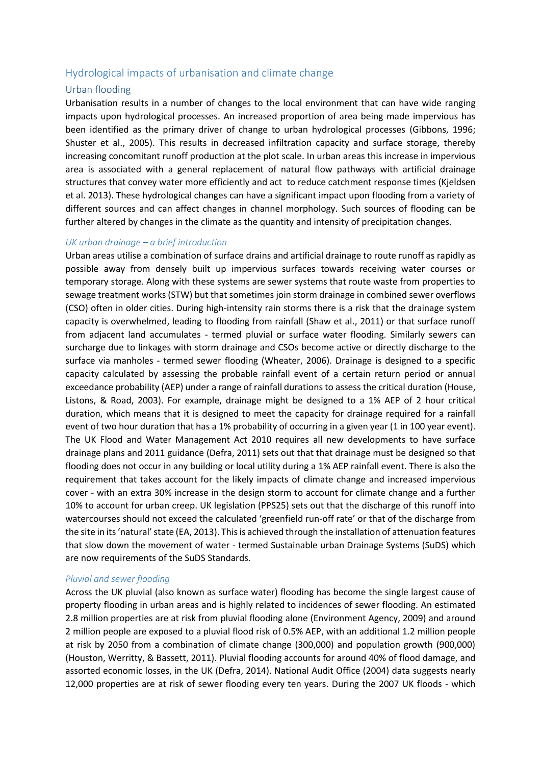## Hydrological impacts of urbanisation and climate change

## Urban flooding

Urbanisation results in a number of changes to the local environment that can have wide ranging impacts upon hydrological processes. An increased proportion of area being made impervious has been identified as the primary driver of change to urban hydrological processes (Gibbons, 1996; Shuster et al., 2005). This results in decreased infiltration capacity and surface storage, thereby increasing concomitant runoff production at the plot scale. In urban areas this increase in impervious area is associated with a general replacement of natural flow pathways with artificial drainage structures that convey water more efficiently and act to reduce catchment response times (Kjeldsen et al. 2013). These hydrological changes can have a significant impact upon flooding from a variety of different sources and can affect changes in channel morphology. Such sources of flooding can be further altered by changes in the climate as the quantity and intensity of precipitation changes.

#### *UK urban drainage – a brief introduction*

Urban areas utilise a combination of surface drains and artificial drainage to route runoff as rapidly as possible away from densely built up impervious surfaces towards receiving water courses or temporary storage. Along with these systems are sewer systems that route waste from properties to sewage treatment works (STW) but that sometimes join storm drainage in combined sewer overflows (CSO) often in older cities. During high-intensity rain storms there is a risk that the drainage system capacity is overwhelmed, leading to flooding from rainfall (Shaw et al., 2011) or that surface runoff from adjacent land accumulates - termed pluvial or surface water flooding. Similarly sewers can surcharge due to linkages with storm drainage and CSOs become active or directly discharge to the surface via manholes - termed sewer flooding (Wheater, 2006). Drainage is designed to a specific capacity calculated by assessing the probable rainfall event of a certain return period or annual exceedance probability (AEP) under a range of rainfall durations to assess the critical duration (House, Listons, & Road, 2003). For example, drainage might be designed to a 1% AEP of 2 hour critical duration, which means that it is designed to meet the capacity for drainage required for a rainfall event of two hour duration that has a 1% probability of occurring in a given year (1 in 100 year event). The UK Flood and Water Management Act 2010 requires all new developments to have surface drainage plans and 2011 guidance (Defra, 2011) sets out that that drainage must be designed so that flooding does not occur in any building or local utility during a 1% AEP rainfall event. There is also the requirement that takes account for the likely impacts of climate change and increased impervious cover - with an extra 30% increase in the design storm to account for climate change and a further 10% to account for urban creep. UK legislation (PPS25) sets out that the discharge of this runoff into watercourses should not exceed the calculated 'greenfield run-off rate' or that of the discharge from the site in its 'natural' state (EA, 2013). This is achieved through the installation of attenuation features that slow down the movement of water - termed Sustainable urban Drainage Systems (SuDS) which are now requirements of the SuDS Standards.

### *Pluvial and sewer flooding*

Across the UK pluvial (also known as surface water) flooding has become the single largest cause of property flooding in urban areas and is highly related to incidences of sewer flooding. An estimated 2.8 million properties are at risk from pluvial flooding alone (Environment Agency, 2009) and around 2 million people are exposed to a pluvial flood risk of 0.5% AEP, with an additional 1.2 million people at risk by 2050 from a combination of climate change (300,000) and population growth (900,000) (Houston, Werritty, & Bassett, 2011). Pluvial flooding accounts for around 40% of flood damage, and assorted economic losses, in the UK (Defra, 2014). National Audit Office (2004) data suggests nearly 12,000 properties are at risk of sewer flooding every ten years. During the 2007 UK floods - which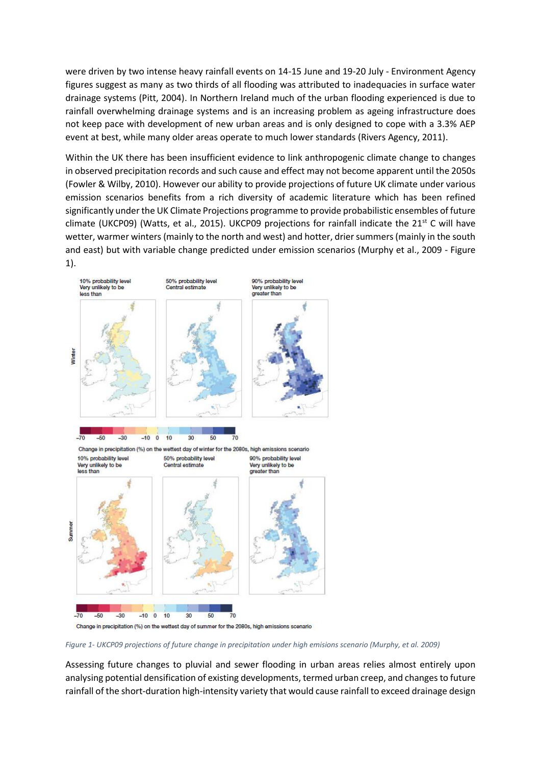were driven by two intense heavy rainfall events on 14-15 June and 19-20 July - Environment Agency figures suggest as many as two thirds of all flooding was attributed to inadequacies in surface water drainage systems (Pitt, 2004). In Northern Ireland much of the urban flooding experienced is due to rainfall overwhelming drainage systems and is an increasing problem as ageing infrastructure does not keep pace with development of new urban areas and is only designed to cope with a 3.3% AEP event at best, while many older areas operate to much lower standards (Rivers Agency, 2011).

Within the UK there has been insufficient evidence to link anthropogenic climate change to changes in observed precipitation records and such cause and effect may not become apparent until the 2050s (Fowler & Wilby, 2010). However our ability to provide projections of future UK climate under various emission scenarios benefits from a rich diversity of academic literature which has been refined significantly under the UK Climate Projections programme to provide probabilistic ensembles of future climate (UKCP09) (Watts, et al., 2015). UKCP09 projections for rainfall indicate the 21<sup>st</sup> C will have wetter, warmer winters (mainly to the north and west) and hotter, drier summers (mainly in the south and east) but with variable change predicted under emission scenarios (Murphy et al., 2009 - Figure



*Figure 1- UKCP09 projections of future change in precipitation under high emisions scenario (Murphy, et al. 2009)*

Assessing future changes to pluvial and sewer flooding in urban areas relies almost entirely upon analysing potential densification of existing developments, termed urban creep, and changes to future rainfall of the short-duration high-intensity variety that would cause rainfall to exceed drainage design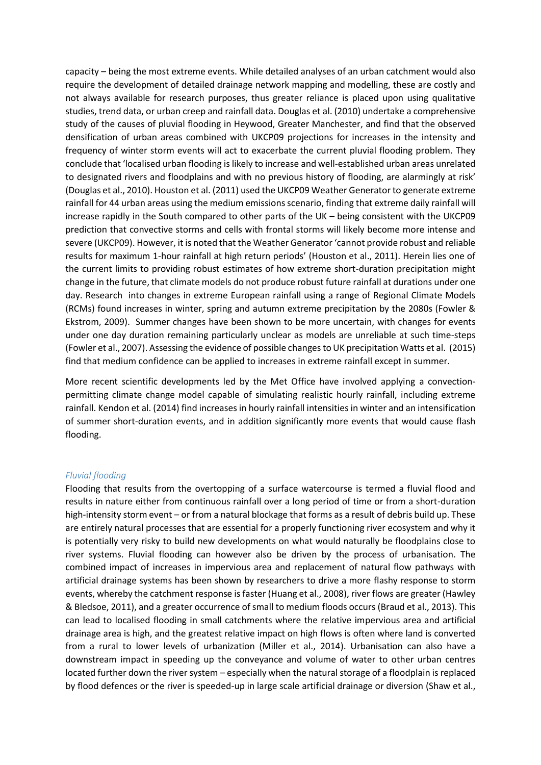capacity – being the most extreme events. While detailed analyses of an urban catchment would also require the development of detailed drainage network mapping and modelling, these are costly and not always available for research purposes, thus greater reliance is placed upon using qualitative studies, trend data, or urban creep and rainfall data. Douglas et al. (2010) undertake a comprehensive study of the causes of pluvial flooding in Heywood, Greater Manchester, and find that the observed densification of urban areas combined with UKCP09 projections for increases in the intensity and frequency of winter storm events will act to exacerbate the current pluvial flooding problem. They conclude that 'localised urban flooding is likely to increase and well-established urban areas unrelated to designated rivers and floodplains and with no previous history of flooding, are alarmingly at risk' (Douglas et al., 2010). Houston et al. (2011) used the UKCP09 Weather Generator to generate extreme rainfall for 44 urban areas using the medium emissionsscenario, finding that extreme daily rainfall will increase rapidly in the South compared to other parts of the UK – being consistent with the UKCP09 prediction that convective storms and cells with frontal storms will likely become more intense and severe (UKCP09). However, it is noted that the Weather Generator 'cannot provide robust and reliable results for maximum 1-hour rainfall at high return periods' (Houston et al., 2011). Herein lies one of the current limits to providing robust estimates of how extreme short-duration precipitation might change in the future, that climate models do not produce robust future rainfall at durations under one day. Research into changes in extreme European rainfall using a range of Regional Climate Models (RCMs) found increases in winter, spring and autumn extreme precipitation by the 2080s (Fowler & Ekstrom, 2009). Summer changes have been shown to be more uncertain, with changes for events under one day duration remaining particularly unclear as models are unreliable at such time-steps (Fowler et al., 2007). Assessing the evidence of possible changes to UK precipitation Watts et al. (2015) find that medium confidence can be applied to increases in extreme rainfall except in summer.

More recent scientific developments led by the Met Office have involved applying a convectionpermitting climate change model capable of simulating realistic hourly rainfall, including extreme rainfall. Kendon et al. (2014) find increases in hourly rainfall intensities in winter and an intensification of summer short-duration events, and in addition significantly more events that would cause flash flooding.

#### *Fluvial flooding*

Flooding that results from the overtopping of a surface watercourse is termed a fluvial flood and results in nature either from continuous rainfall over a long period of time or from a short-duration high-intensity storm event – or from a natural blockage that forms as a result of debris build up. These are entirely natural processes that are essential for a properly functioning river ecosystem and why it is potentially very risky to build new developments on what would naturally be floodplains close to river systems. Fluvial flooding can however also be driven by the process of urbanisation. The combined impact of increases in impervious area and replacement of natural flow pathways with artificial drainage systems has been shown by researchers to drive a more flashy response to storm events, whereby the catchment response is faster (Huang et al., 2008), river flows are greater (Hawley & Bledsoe, 2011), and a greater occurrence of small to medium floods occurs (Braud et al., 2013). This can lead to localised flooding in small catchments where the relative impervious area and artificial drainage area is high, and the greatest relative impact on high flows is often where land is converted from a rural to lower levels of urbanization (Miller et al., 2014). Urbanisation can also have a downstream impact in speeding up the conveyance and volume of water to other urban centres located further down the river system – especially when the natural storage of a floodplain is replaced by flood defences or the river is speeded-up in large scale artificial drainage or diversion (Shaw et al.,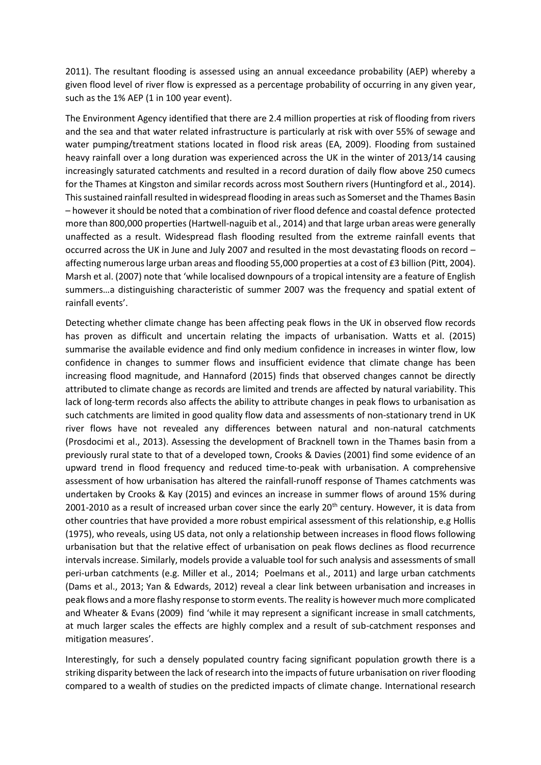2011). The resultant flooding is assessed using an annual exceedance probability (AEP) whereby a given flood level of river flow is expressed as a percentage probability of occurring in any given year, such as the 1% AEP (1 in 100 year event).

The Environment Agency identified that there are 2.4 million properties at risk of flooding from rivers and the sea and that water related infrastructure is particularly at risk with over 55% of sewage and water pumping/treatment stations located in flood risk areas (EA, 2009). Flooding from sustained heavy rainfall over a long duration was experienced across the UK in the winter of 2013/14 causing increasingly saturated catchments and resulted in a record duration of daily flow above 250 cumecs for the Thames at Kingston and similar records across most Southern rivers (Huntingford et al., 2014). This sustained rainfall resulted in widespread flooding in areas such as Somerset and the Thames Basin – however it should be noted that a combination of river flood defence and coastal defence protected more than 800,000 properties (Hartwell-naguib et al., 2014) and that large urban areas were generally unaffected as a result. Widespread flash flooding resulted from the extreme rainfall events that occurred across the UK in June and July 2007 and resulted in the most devastating floods on record – affecting numerous large urban areas and flooding 55,000 properties at a cost of £3 billion (Pitt, 2004). Marsh et al. (2007) note that 'while localised downpours of a tropical intensity are a feature of English summers…a distinguishing characteristic of summer 2007 was the frequency and spatial extent of rainfall events'.

Detecting whether climate change has been affecting peak flows in the UK in observed flow records has proven as difficult and uncertain relating the impacts of urbanisation. Watts et al. (2015) summarise the available evidence and find only medium confidence in increases in winter flow, low confidence in changes to summer flows and insufficient evidence that climate change has been increasing flood magnitude, and Hannaford (2015) finds that observed changes cannot be directly attributed to climate change as records are limited and trends are affected by natural variability. This lack of long-term records also affects the ability to attribute changes in peak flows to urbanisation as such catchments are limited in good quality flow data and assessments of non-stationary trend in UK river flows have not revealed any differences between natural and non-natural catchments (Prosdocimi et al., 2013). Assessing the development of Bracknell town in the Thames basin from a previously rural state to that of a developed town, Crooks & Davies (2001) find some evidence of an upward trend in flood frequency and reduced time-to-peak with urbanisation. A comprehensive assessment of how urbanisation has altered the rainfall-runoff response of Thames catchments was undertaken by Crooks & Kay (2015) and evinces an increase in summer flows of around 15% during 2001-2010 as a result of increased urban cover since the early  $20<sup>th</sup>$  century. However, it is data from other countries that have provided a more robust empirical assessment of this relationship, e.g Hollis (1975), who reveals, using US data, not only a relationship between increases in flood flows following urbanisation but that the relative effect of urbanisation on peak flows declines as flood recurrence intervals increase. Similarly, models provide a valuable tool for such analysis and assessments of small peri-urban catchments (e.g. Miller et al., 2014; Poelmans et al., 2011) and large urban catchments (Dams et al., 2013; Yan & Edwards, 2012) reveal a clear link between urbanisation and increases in peak flows and a more flashy response to storm events. The reality is however much more complicated and Wheater & Evans (2009) find 'while it may represent a significant increase in small catchments, at much larger scales the effects are highly complex and a result of sub-catchment responses and mitigation measures'.

Interestingly, for such a densely populated country facing significant population growth there is a striking disparity between the lack of research into the impacts of future urbanisation on river flooding compared to a wealth of studies on the predicted impacts of climate change. International research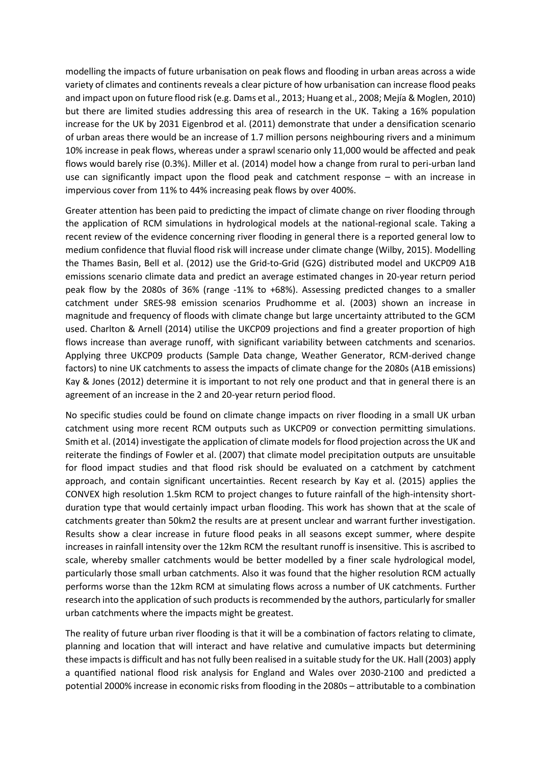modelling the impacts of future urbanisation on peak flows and flooding in urban areas across a wide variety of climates and continents reveals a clear picture of how urbanisation can increase flood peaks and impact upon on future flood risk (e.g. Dams et al., 2013; Huang et al., 2008; Mejía & Moglen, 2010) but there are limited studies addressing this area of research in the UK. Taking a 16% population increase for the UK by 2031 Eigenbrod et al. (2011) demonstrate that under a densification scenario of urban areas there would be an increase of 1.7 million persons neighbouring rivers and a minimum 10% increase in peak flows, whereas under a sprawl scenario only 11,000 would be affected and peak flows would barely rise (0.3%). Miller et al. (2014) model how a change from rural to peri-urban land use can significantly impact upon the flood peak and catchment response – with an increase in impervious cover from 11% to 44% increasing peak flows by over 400%.

Greater attention has been paid to predicting the impact of climate change on river flooding through the application of RCM simulations in hydrological models at the national-regional scale. Taking a recent review of the evidence concerning river flooding in general there is a reported general low to medium confidence that fluvial flood risk will increase under climate change (Wilby, 2015). Modelling the Thames Basin, Bell et al. (2012) use the Grid-to-Grid (G2G) distributed model and UKCP09 A1B emissions scenario climate data and predict an average estimated changes in 20-year return period peak flow by the 2080s of 36% (range -11% to +68%). Assessing predicted changes to a smaller catchment under SRES-98 emission scenarios Prudhomme et al. (2003) shown an increase in magnitude and frequency of floods with climate change but large uncertainty attributed to the GCM used. Charlton & Arnell (2014) utilise the UKCP09 projections and find a greater proportion of high flows increase than average runoff, with significant variability between catchments and scenarios. Applying three UKCP09 products (Sample Data change, Weather Generator, RCM-derived change factors) to nine UK catchments to assess the impacts of climate change for the 2080s (A1B emissions) Kay & Jones (2012) determine it is important to not rely one product and that in general there is an agreement of an increase in the 2 and 20-year return period flood.

No specific studies could be found on climate change impacts on river flooding in a small UK urban catchment using more recent RCM outputs such as UKCP09 or convection permitting simulations. Smith et al. (2014) investigate the application of climate models for flood projection across the UK and reiterate the findings of Fowler et al. (2007) that climate model precipitation outputs are unsuitable for flood impact studies and that flood risk should be evaluated on a catchment by catchment approach, and contain significant uncertainties. Recent research by Kay et al. (2015) applies the CONVEX high resolution 1.5km RCM to project changes to future rainfall of the high-intensity shortduration type that would certainly impact urban flooding. This work has shown that at the scale of catchments greater than 50km2 the results are at present unclear and warrant further investigation. Results show a clear increase in future flood peaks in all seasons except summer, where despite increases in rainfall intensity over the 12km RCM the resultant runoff is insensitive. This is ascribed to scale, whereby smaller catchments would be better modelled by a finer scale hydrological model, particularly those small urban catchments. Also it was found that the higher resolution RCM actually performs worse than the 12km RCM at simulating flows across a number of UK catchments. Further research into the application of such products is recommended by the authors, particularly for smaller urban catchments where the impacts might be greatest.

The reality of future urban river flooding is that it will be a combination of factors relating to climate, planning and location that will interact and have relative and cumulative impacts but determining these impacts is difficult and has not fully been realised in a suitable study for the UK. Hall (2003) apply a quantified national flood risk analysis for England and Wales over 2030-2100 and predicted a potential 2000% increase in economic risks from flooding in the 2080s – attributable to a combination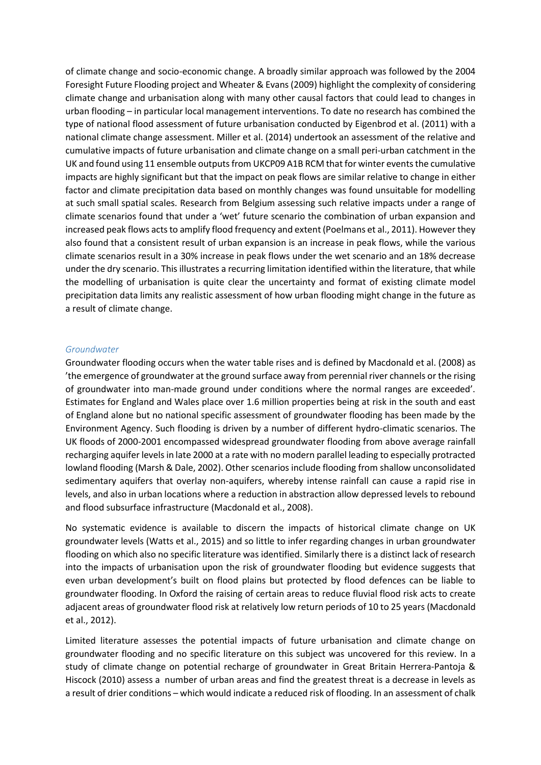of climate change and socio-economic change. A broadly similar approach was followed by the 2004 Foresight Future Flooding project and Wheater & Evans (2009) highlight the complexity of considering climate change and urbanisation along with many other causal factors that could lead to changes in urban flooding – in particular local management interventions. To date no research has combined the type of national flood assessment of future urbanisation conducted by Eigenbrod et al. (2011) with a national climate change assessment. Miller et al. (2014) undertook an assessment of the relative and cumulative impacts of future urbanisation and climate change on a small peri-urban catchment in the UK and found using 11 ensemble outputs from UKCP09 A1B RCM that for winter events the cumulative impacts are highly significant but that the impact on peak flows are similar relative to change in either factor and climate precipitation data based on monthly changes was found unsuitable for modelling at such small spatial scales. Research from Belgium assessing such relative impacts under a range of climate scenarios found that under a 'wet' future scenario the combination of urban expansion and increased peak flows acts to amplify flood frequency and extent (Poelmans et al., 2011). However they also found that a consistent result of urban expansion is an increase in peak flows, while the various climate scenarios result in a 30% increase in peak flows under the wet scenario and an 18% decrease under the dry scenario. This illustrates a recurring limitation identified within the literature, that while the modelling of urbanisation is quite clear the uncertainty and format of existing climate model precipitation data limits any realistic assessment of how urban flooding might change in the future as a result of climate change.

#### *Groundwater*

Groundwater flooding occurs when the water table rises and is defined by Macdonald et al. (2008) as 'the emergence of groundwater at the ground surface away from perennial river channels or the rising of groundwater into man-made ground under conditions where the normal ranges are exceeded'. Estimates for England and Wales place over 1.6 million properties being at risk in the south and east of England alone but no national specific assessment of groundwater flooding has been made by the Environment Agency. Such flooding is driven by a number of different hydro-climatic scenarios. The UK floods of 2000-2001 encompassed widespread groundwater flooding from above average rainfall recharging aquifer levels in late 2000 at a rate with no modern parallel leading to especially protracted lowland flooding (Marsh & Dale, 2002). Other scenarios include flooding from shallow unconsolidated sedimentary aquifers that overlay non-aquifers, whereby intense rainfall can cause a rapid rise in levels, and also in urban locations where a reduction in abstraction allow depressed levels to rebound and flood subsurface infrastructure (Macdonald et al., 2008).

No systematic evidence is available to discern the impacts of historical climate change on UK groundwater levels (Watts et al., 2015) and so little to infer regarding changes in urban groundwater flooding on which also no specific literature was identified. Similarly there is a distinct lack of research into the impacts of urbanisation upon the risk of groundwater flooding but evidence suggests that even urban development's built on flood plains but protected by flood defences can be liable to groundwater flooding. In Oxford the raising of certain areas to reduce fluvial flood risk acts to create adjacent areas of groundwater flood risk at relatively low return periods of 10 to 25 years (Macdonald et al., 2012).

Limited literature assesses the potential impacts of future urbanisation and climate change on groundwater flooding and no specific literature on this subject was uncovered for this review. In a study of climate change on potential recharge of groundwater in Great Britain Herrera-Pantoja & Hiscock (2010) assess a number of urban areas and find the greatest threat is a decrease in levels as a result of drier conditions – which would indicate a reduced risk of flooding. In an assessment of chalk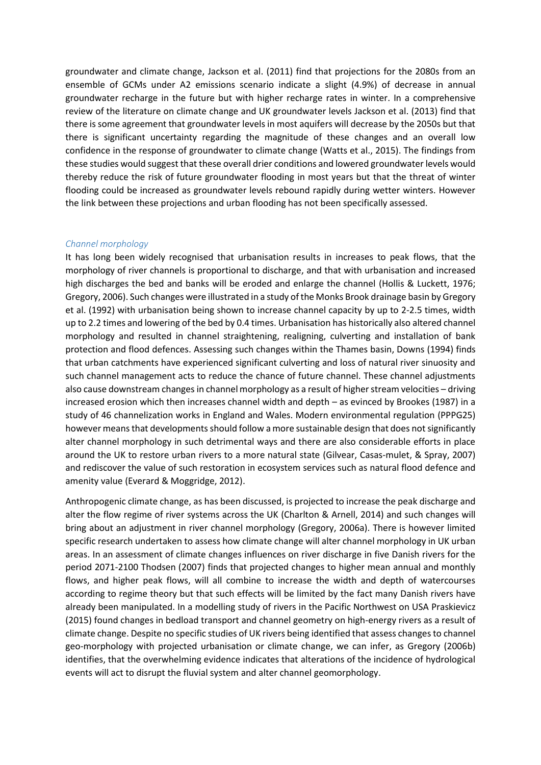groundwater and climate change, Jackson et al. (2011) find that projections for the 2080s from an ensemble of GCMs under A2 emissions scenario indicate a slight (4.9%) of decrease in annual groundwater recharge in the future but with higher recharge rates in winter. In a comprehensive review of the literature on climate change and UK groundwater levels Jackson et al. (2013) find that there is some agreement that groundwater levels in most aquifers will decrease by the 2050s but that there is significant uncertainty regarding the magnitude of these changes and an overall low confidence in the response of groundwater to climate change (Watts et al., 2015). The findings from these studies would suggest that these overall drier conditions and lowered groundwater levels would thereby reduce the risk of future groundwater flooding in most years but that the threat of winter flooding could be increased as groundwater levels rebound rapidly during wetter winters. However the link between these projections and urban flooding has not been specifically assessed.

#### *Channel morphology*

It has long been widely recognised that urbanisation results in increases to peak flows, that the morphology of river channels is proportional to discharge, and that with urbanisation and increased high discharges the bed and banks will be eroded and enlarge the channel (Hollis & Luckett, 1976; Gregory, 2006). Such changes were illustrated in a study of the Monks Brook drainage basin by Gregory et al. (1992) with urbanisation being shown to increase channel capacity by up to 2-2.5 times, width up to 2.2 times and lowering of the bed by 0.4 times. Urbanisation has historically also altered channel morphology and resulted in channel straightening, realigning, culverting and installation of bank protection and flood defences. Assessing such changes within the Thames basin, Downs (1994) finds that urban catchments have experienced significant culverting and loss of natural river sinuosity and such channel management acts to reduce the chance of future channel. These channel adjustments also cause downstream changes in channel morphology as a result of higher stream velocities – driving increased erosion which then increases channel width and depth – as evinced by Brookes (1987) in a study of 46 channelization works in England and Wales. Modern environmental regulation (PPPG25) however meansthat developments should follow a more sustainable design that does not significantly alter channel morphology in such detrimental ways and there are also considerable efforts in place around the UK to restore urban rivers to a more natural state (Gilvear, Casas-mulet, & Spray, 2007) and rediscover the value of such restoration in ecosystem services such as natural flood defence and amenity value (Everard & Moggridge, 2012).

Anthropogenic climate change, as has been discussed, is projected to increase the peak discharge and alter the flow regime of river systems across the UK (Charlton & Arnell, 2014) and such changes will bring about an adjustment in river channel morphology (Gregory, 2006a). There is however limited specific research undertaken to assess how climate change will alter channel morphology in UK urban areas. In an assessment of climate changes influences on river discharge in five Danish rivers for the period 2071-2100 Thodsen (2007) finds that projected changes to higher mean annual and monthly flows, and higher peak flows, will all combine to increase the width and depth of watercourses according to regime theory but that such effects will be limited by the fact many Danish rivers have already been manipulated. In a modelling study of rivers in the Pacific Northwest on USA Praskievicz (2015) found changes in bedload transport and channel geometry on high-energy rivers as a result of climate change. Despite no specific studies of UK rivers being identified that assess changes to channel geo-morphology with projected urbanisation or climate change, we can infer, as Gregory (2006b) identifies, that the overwhelming evidence indicates that alterations of the incidence of hydrological events will act to disrupt the fluvial system and alter channel geomorphology.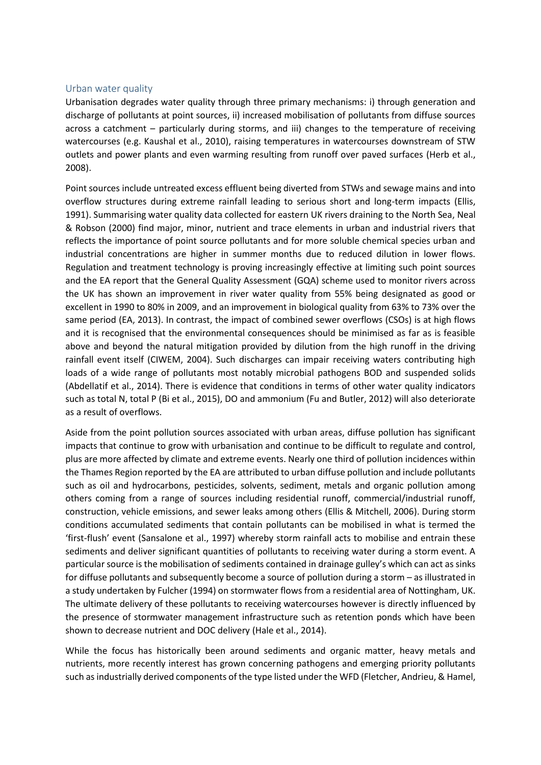### Urban water quality

Urbanisation degrades water quality through three primary mechanisms: i) through generation and discharge of pollutants at point sources, ii) increased mobilisation of pollutants from diffuse sources across a catchment – particularly during storms, and iii) changes to the temperature of receiving watercourses (e.g. Kaushal et al., 2010), raising temperatures in watercourses downstream of STW outlets and power plants and even warming resulting from runoff over paved surfaces (Herb et al., 2008).

Point sources include untreated excess effluent being diverted from STWs and sewage mains and into overflow structures during extreme rainfall leading to serious short and long-term impacts (Ellis, 1991). Summarising water quality data collected for eastern UK rivers draining to the North Sea, Neal & Robson (2000) find major, minor, nutrient and trace elements in urban and industrial rivers that reflects the importance of point source pollutants and for more soluble chemical species urban and industrial concentrations are higher in summer months due to reduced dilution in lower flows. Regulation and treatment technology is proving increasingly effective at limiting such point sources and the EA report that the General Quality Assessment (GQA) scheme used to monitor rivers across the UK has shown an improvement in river water quality from 55% being designated as good or excellent in 1990 to 80% in 2009, and an improvement in biological quality from 63% to 73% over the same period (EA, 2013). In contrast, the impact of combined sewer overflows (CSOs) is at high flows and it is recognised that the environmental consequences should be minimised as far as is feasible above and beyond the natural mitigation provided by dilution from the high runoff in the driving rainfall event itself (CIWEM, 2004). Such discharges can impair receiving waters contributing high loads of a wide range of pollutants most notably microbial pathogens BOD and suspended solids (Abdellatif et al., 2014). There is evidence that conditions in terms of other water quality indicators such as total N, total P (Bi et al., 2015), DO and ammonium (Fu and Butler, 2012) will also deteriorate as a result of overflows.

Aside from the point pollution sources associated with urban areas, diffuse pollution has significant impacts that continue to grow with urbanisation and continue to be difficult to regulate and control, plus are more affected by climate and extreme events. Nearly one third of pollution incidences within the Thames Region reported by the EA are attributed to urban diffuse pollution and include pollutants such as oil and hydrocarbons, pesticides, solvents, sediment, metals and organic pollution among others coming from a range of sources including residential runoff, commercial/industrial runoff, construction, vehicle emissions, and sewer leaks among others (Ellis & Mitchell, 2006). During storm conditions accumulated sediments that contain pollutants can be mobilised in what is termed the 'first-flush' event (Sansalone et al., 1997) whereby storm rainfall acts to mobilise and entrain these sediments and deliver significant quantities of pollutants to receiving water during a storm event. A particular source is the mobilisation of sediments contained in drainage gulley's which can act as sinks for diffuse pollutants and subsequently become a source of pollution during a storm – as illustrated in a study undertaken by Fulcher (1994) on stormwater flows from a residential area of Nottingham, UK. The ultimate delivery of these pollutants to receiving watercourses however is directly influenced by the presence of stormwater management infrastructure such as retention ponds which have been shown to decrease nutrient and DOC delivery (Hale et al., 2014).

While the focus has historically been around sediments and organic matter, heavy metals and nutrients, more recently interest has grown concerning pathogens and emerging priority pollutants such as industrially derived components of the type listed under the WFD (Fletcher, Andrieu, & Hamel,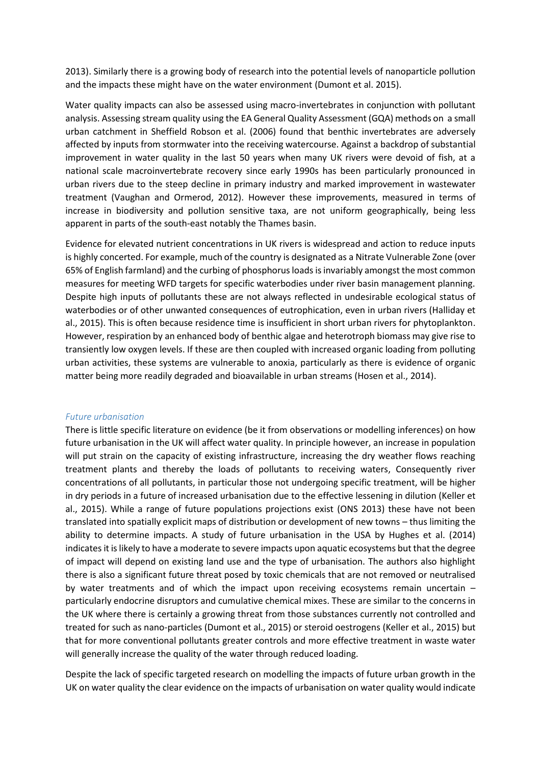2013). Similarly there is a growing body of research into the potential levels of nanoparticle pollution and the impacts these might have on the water environment (Dumont et al. 2015).

Water quality impacts can also be assessed using macro-invertebrates in conjunction with pollutant analysis. Assessing stream quality using the EA General Quality Assessment (GQA) methods on a small urban catchment in Sheffield Robson et al. (2006) found that benthic invertebrates are adversely affected by inputs from stormwater into the receiving watercourse. Against a backdrop of substantial improvement in water quality in the last 50 years when many UK rivers were devoid of fish, at a national scale macroinvertebrate recovery since early 1990s has been particularly pronounced in urban rivers due to the steep decline in primary industry and marked improvement in wastewater treatment (Vaughan and Ormerod, 2012). However these improvements, measured in terms of increase in biodiversity and pollution sensitive taxa, are not uniform geographically, being less apparent in parts of the south-east notably the Thames basin.

Evidence for elevated nutrient concentrations in UK rivers is widespread and action to reduce inputs is highly concerted. For example, much of the country is designated as a Nitrate Vulnerable Zone (over 65% of English farmland) and the curbing of phosphorus loads is invariably amongst the most common measures for meeting WFD targets for specific waterbodies under river basin management planning. Despite high inputs of pollutants these are not always reflected in undesirable ecological status of waterbodies or of other unwanted consequences of eutrophication, even in urban rivers (Halliday et al., 2015). This is often because residence time is insufficient in short urban rivers for phytoplankton. However, respiration by an enhanced body of benthic algae and heterotroph biomass may give rise to transiently low oxygen levels. If these are then coupled with increased organic loading from polluting urban activities, these systems are vulnerable to anoxia, particularly as there is evidence of organic matter being more readily degraded and bioavailable in urban streams (Hosen et al., 2014).

#### *Future urbanisation*

There is little specific literature on evidence (be it from observations or modelling inferences) on how future urbanisation in the UK will affect water quality. In principle however, an increase in population will put strain on the capacity of existing infrastructure, increasing the dry weather flows reaching treatment plants and thereby the loads of pollutants to receiving waters, Consequently river concentrations of all pollutants, in particular those not undergoing specific treatment, will be higher in dry periods in a future of increased urbanisation due to the effective lessening in dilution (Keller et al., 2015). While a range of future populations projections exist (ONS 2013) these have not been translated into spatially explicit maps of distribution or development of new towns – thus limiting the ability to determine impacts. A study of future urbanisation in the USA by Hughes et al. (2014) indicates it is likely to have a moderate to severe impacts upon aquatic ecosystems but that the degree of impact will depend on existing land use and the type of urbanisation. The authors also highlight there is also a significant future threat posed by toxic chemicals that are not removed or neutralised by water treatments and of which the impact upon receiving ecosystems remain uncertain – particularly endocrine disruptors and cumulative chemical mixes. These are similar to the concerns in the UK where there is certainly a growing threat from those substances currently not controlled and treated for such as nano-particles (Dumont et al., 2015) or steroid oestrogens (Keller et al., 2015) but that for more conventional pollutants greater controls and more effective treatment in waste water will generally increase the quality of the water through reduced loading.

Despite the lack of specific targeted research on modelling the impacts of future urban growth in the UK on water quality the clear evidence on the impacts of urbanisation on water quality would indicate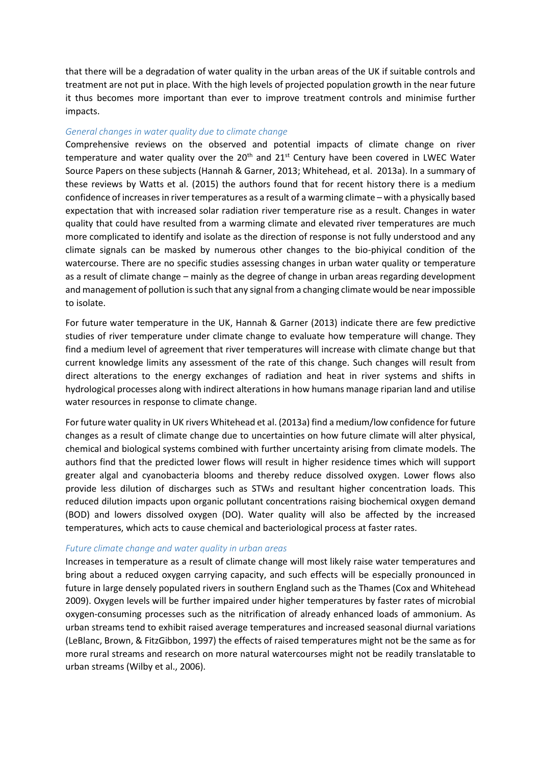that there will be a degradation of water quality in the urban areas of the UK if suitable controls and treatment are not put in place. With the high levels of projected population growth in the near future it thus becomes more important than ever to improve treatment controls and minimise further impacts.

#### *General changes in water quality due to climate change*

Comprehensive reviews on the observed and potential impacts of climate change on river temperature and water quality over the  $20<sup>th</sup>$  and  $21<sup>st</sup>$  Century have been covered in LWEC Water Source Papers on these subjects (Hannah & Garner, 2013; Whitehead, et al. 2013a). In a summary of these reviews by Watts et al. (2015) the authors found that for recent history there is a medium confidence of increases in river temperatures as a result of a warming climate – with a physically based expectation that with increased solar radiation river temperature rise as a result. Changes in water quality that could have resulted from a warming climate and elevated river temperatures are much more complicated to identify and isolate as the direction of response is not fully understood and any climate signals can be masked by numerous other changes to the bio-phiyical condition of the watercourse. There are no specific studies assessing changes in urban water quality or temperature as a result of climate change – mainly as the degree of change in urban areas regarding development and management of pollution is such that any signal from a changing climate would be near impossible to isolate.

For future water temperature in the UK, Hannah & Garner (2013) indicate there are few predictive studies of river temperature under climate change to evaluate how temperature will change. They find a medium level of agreement that river temperatures will increase with climate change but that current knowledge limits any assessment of the rate of this change. Such changes will result from direct alterations to the energy exchanges of radiation and heat in river systems and shifts in hydrological processes along with indirect alterations in how humans manage riparian land and utilise water resources in response to climate change.

For future water quality in UK rivers Whitehead et al. (2013a) find a medium/low confidence for future changes as a result of climate change due to uncertainties on how future climate will alter physical, chemical and biological systems combined with further uncertainty arising from climate models. The authors find that the predicted lower flows will result in higher residence times which will support greater algal and cyanobacteria blooms and thereby reduce dissolved oxygen. Lower flows also provide less dilution of discharges such as STWs and resultant higher concentration loads. This reduced dilution impacts upon organic pollutant concentrations raising biochemical oxygen demand (BOD) and lowers dissolved oxygen (DO). Water quality will also be affected by the increased temperatures, which acts to cause chemical and bacteriological process at faster rates.

#### *Future climate change and water quality in urban areas*

Increases in temperature as a result of climate change will most likely raise water temperatures and bring about a reduced oxygen carrying capacity, and such effects will be especially pronounced in future in large densely populated rivers in southern England such as the Thames (Cox and Whitehead 2009). Oxygen levels will be further impaired under higher temperatures by faster rates of microbial oxygen-consuming processes such as the nitrification of already enhanced loads of ammonium. As urban streams tend to exhibit raised average temperatures and increased seasonal diurnal variations (LeBlanc, Brown, & FitzGibbon, 1997) the effects of raised temperatures might not be the same as for more rural streams and research on more natural watercourses might not be readily translatable to urban streams (Wilby et al., 2006).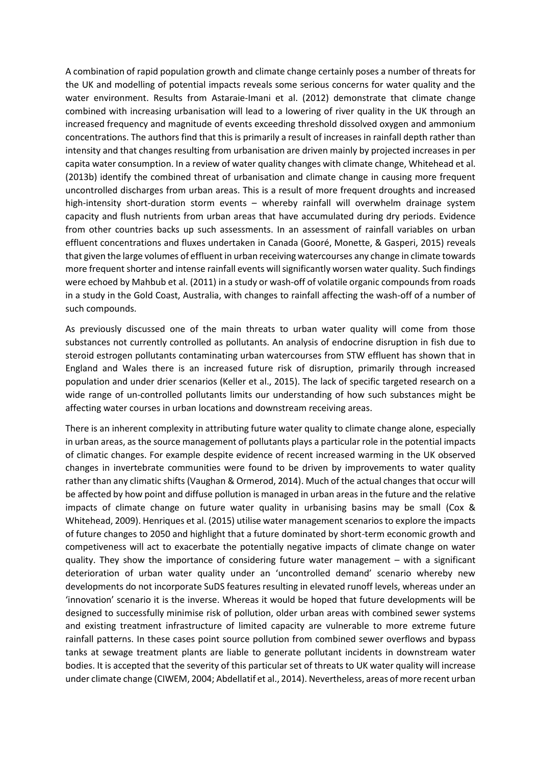A combination of rapid population growth and climate change certainly poses a number of threats for the UK and modelling of potential impacts reveals some serious concerns for water quality and the water environment. Results from Astaraie-Imani et al. (2012) demonstrate that climate change combined with increasing urbanisation will lead to a lowering of river quality in the UK through an increased frequency and magnitude of events exceeding threshold dissolved oxygen and ammonium concentrations. The authors find that this is primarily a result of increases in rainfall depth rather than intensity and that changes resulting from urbanisation are driven mainly by projected increases in per capita water consumption. In a review of water quality changes with climate change, Whitehead et al. (2013b) identify the combined threat of urbanisation and climate change in causing more frequent uncontrolled discharges from urban areas. This is a result of more frequent droughts and increased high-intensity short-duration storm events – whereby rainfall will overwhelm drainage system capacity and flush nutrients from urban areas that have accumulated during dry periods. Evidence from other countries backs up such assessments. In an assessment of rainfall variables on urban effluent concentrations and fluxes undertaken in Canada (Gooré, Monette, & Gasperi, 2015) reveals that given the large volumes of effluent in urban receiving watercourses any change in climate towards more frequent shorter and intense rainfall events will significantly worsen water quality. Such findings were echoed by Mahbub et al. (2011) in a study or wash-off of volatile organic compounds from roads in a study in the Gold Coast, Australia, with changes to rainfall affecting the wash-off of a number of such compounds.

As previously discussed one of the main threats to urban water quality will come from those substances not currently controlled as pollutants. An analysis of endocrine disruption in fish due to steroid estrogen pollutants contaminating urban watercourses from STW effluent has shown that in England and Wales there is an increased future risk of disruption, primarily through increased population and under drier scenarios (Keller et al., 2015). The lack of specific targeted research on a wide range of un-controlled pollutants limits our understanding of how such substances might be affecting water courses in urban locations and downstream receiving areas.

There is an inherent complexity in attributing future water quality to climate change alone, especially in urban areas, as the source management of pollutants plays a particular role in the potential impacts of climatic changes. For example despite evidence of recent increased warming in the UK observed changes in invertebrate communities were found to be driven by improvements to water quality rather than any climatic shifts (Vaughan & Ormerod, 2014). Much of the actual changes that occur will be affected by how point and diffuse pollution is managed in urban areas in the future and the relative impacts of climate change on future water quality in urbanising basins may be small (Cox & Whitehead, 2009). Henriques et al. (2015) utilise water management scenarios to explore the impacts of future changes to 2050 and highlight that a future dominated by short-term economic growth and competiveness will act to exacerbate the potentially negative impacts of climate change on water quality. They show the importance of considering future water management – with a significant deterioration of urban water quality under an 'uncontrolled demand' scenario whereby new developments do not incorporate SuDS features resulting in elevated runoff levels, whereas under an 'innovation' scenario it is the inverse. Whereas it would be hoped that future developments will be designed to successfully minimise risk of pollution, older urban areas with combined sewer systems and existing treatment infrastructure of limited capacity are vulnerable to more extreme future rainfall patterns. In these cases point source pollution from combined sewer overflows and bypass tanks at sewage treatment plants are liable to generate pollutant incidents in downstream water bodies. It is accepted that the severity of this particular set of threats to UK water quality will increase under climate change (CIWEM, 2004; Abdellatif et al., 2014). Nevertheless, areas of more recent urban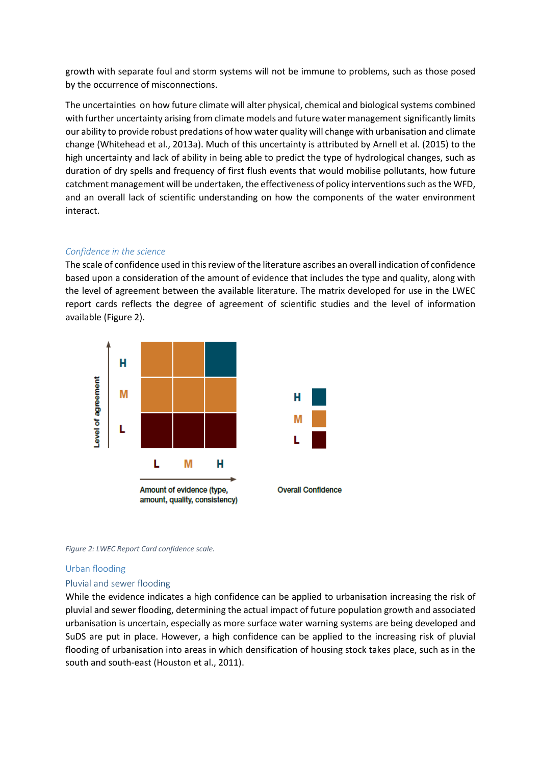growth with separate foul and storm systems will not be immune to problems, such as those posed by the occurrence of misconnections.

The uncertainties on how future climate will alter physical, chemical and biological systems combined with further uncertainty arising from climate models and future water management significantly limits our ability to provide robust predations of how water quality will change with urbanisation and climate change (Whitehead et al., 2013a). Much of this uncertainty is attributed by Arnell et al. (2015) to the high uncertainty and lack of ability in being able to predict the type of hydrological changes, such as duration of dry spells and frequency of first flush events that would mobilise pollutants, how future catchment management will be undertaken, the effectiveness of policy interventions such as the WFD, and an overall lack of scientific understanding on how the components of the water environment interact.

## *Confidence in the science*

The scale of confidence used in this review of the literature ascribes an overall indication of confidence based upon a consideration of the amount of evidence that includes the type and quality, along with the level of agreement between the available literature. The matrix developed for use in the LWEC report cards reflects the degree of agreement of scientific studies and the level of information available [\(Figure 2\)](#page-14-0).



<span id="page-14-0"></span>

### Urban flooding

### Pluvial and sewer flooding

While the evidence indicates a high confidence can be applied to urbanisation increasing the risk of pluvial and sewer flooding, determining the actual impact of future population growth and associated urbanisation is uncertain, especially as more surface water warning systems are being developed and SuDS are put in place. However, a high confidence can be applied to the increasing risk of pluvial flooding of urbanisation into areas in which densification of housing stock takes place, such as in the south and south-east (Houston et al., 2011).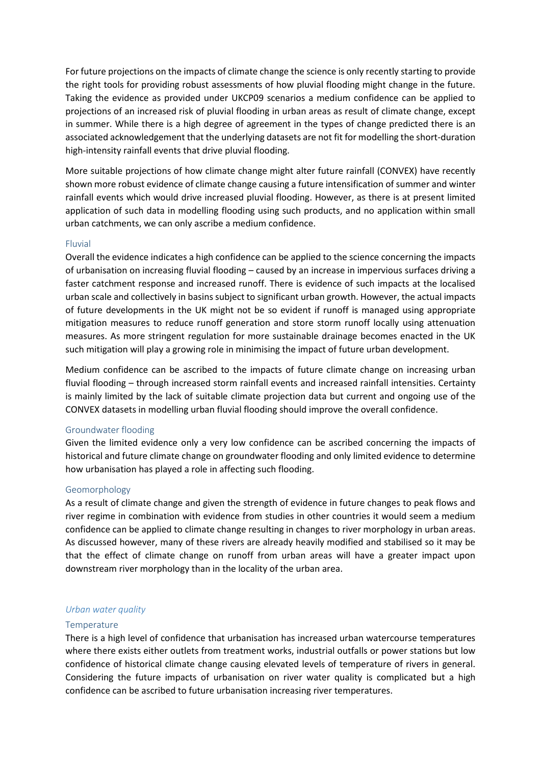For future projections on the impacts of climate change the science is only recently starting to provide the right tools for providing robust assessments of how pluvial flooding might change in the future. Taking the evidence as provided under UKCP09 scenarios a medium confidence can be applied to projections of an increased risk of pluvial flooding in urban areas as result of climate change, except in summer. While there is a high degree of agreement in the types of change predicted there is an associated acknowledgement that the underlying datasets are not fit for modelling the short-duration high-intensity rainfall events that drive pluvial flooding.

More suitable projections of how climate change might alter future rainfall (CONVEX) have recently shown more robust evidence of climate change causing a future intensification of summer and winter rainfall events which would drive increased pluvial flooding. However, as there is at present limited application of such data in modelling flooding using such products, and no application within small urban catchments, we can only ascribe a medium confidence.

#### Fluvial

Overall the evidence indicates a high confidence can be applied to the science concerning the impacts of urbanisation on increasing fluvial flooding – caused by an increase in impervious surfaces driving a faster catchment response and increased runoff. There is evidence of such impacts at the localised urban scale and collectively in basins subject to significant urban growth. However, the actual impacts of future developments in the UK might not be so evident if runoff is managed using appropriate mitigation measures to reduce runoff generation and store storm runoff locally using attenuation measures. As more stringent regulation for more sustainable drainage becomes enacted in the UK such mitigation will play a growing role in minimising the impact of future urban development.

Medium confidence can be ascribed to the impacts of future climate change on increasing urban fluvial flooding – through increased storm rainfall events and increased rainfall intensities. Certainty is mainly limited by the lack of suitable climate projection data but current and ongoing use of the CONVEX datasets in modelling urban fluvial flooding should improve the overall confidence.

#### Groundwater flooding

Given the limited evidence only a very low confidence can be ascribed concerning the impacts of historical and future climate change on groundwater flooding and only limited evidence to determine how urbanisation has played a role in affecting such flooding.

#### Geomorphology

As a result of climate change and given the strength of evidence in future changes to peak flows and river regime in combination with evidence from studies in other countries it would seem a medium confidence can be applied to climate change resulting in changes to river morphology in urban areas. As discussed however, many of these rivers are already heavily modified and stabilised so it may be that the effect of climate change on runoff from urban areas will have a greater impact upon downstream river morphology than in the locality of the urban area.

#### *Urban water quality*

#### **Temperature**

There is a high level of confidence that urbanisation has increased urban watercourse temperatures where there exists either outlets from treatment works, industrial outfalls or power stations but low confidence of historical climate change causing elevated levels of temperature of rivers in general. Considering the future impacts of urbanisation on river water quality is complicated but a high confidence can be ascribed to future urbanisation increasing river temperatures.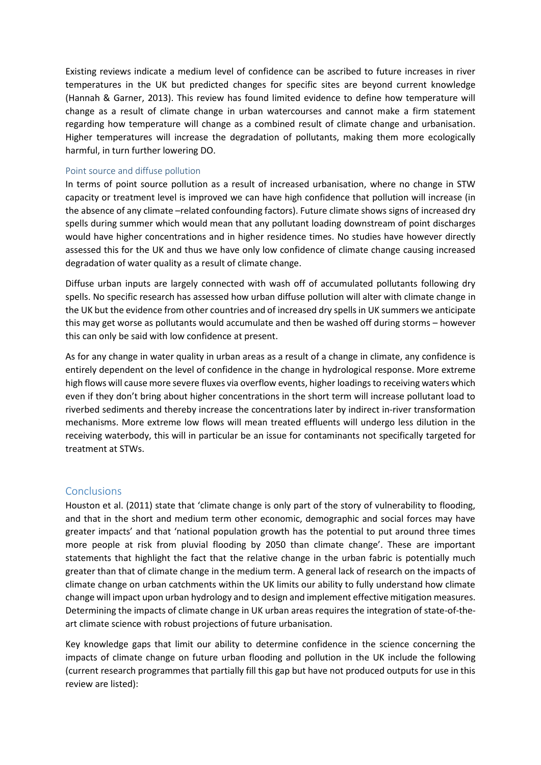Existing reviews indicate a medium level of confidence can be ascribed to future increases in river temperatures in the UK but predicted changes for specific sites are beyond current knowledge (Hannah & Garner, 2013). This review has found limited evidence to define how temperature will change as a result of climate change in urban watercourses and cannot make a firm statement regarding how temperature will change as a combined result of climate change and urbanisation. Higher temperatures will increase the degradation of pollutants, making them more ecologically harmful, in turn further lowering DO.

#### Point source and diffuse pollution

In terms of point source pollution as a result of increased urbanisation, where no change in STW capacity or treatment level is improved we can have high confidence that pollution will increase (in the absence of any climate –related confounding factors). Future climate shows signs of increased dry spells during summer which would mean that any pollutant loading downstream of point discharges would have higher concentrations and in higher residence times. No studies have however directly assessed this for the UK and thus we have only low confidence of climate change causing increased degradation of water quality as a result of climate change.

Diffuse urban inputs are largely connected with wash off of accumulated pollutants following dry spells. No specific research has assessed how urban diffuse pollution will alter with climate change in the UK but the evidence from other countries and of increased dry spells in UK summers we anticipate this may get worse as pollutants would accumulate and then be washed off during storms – however this can only be said with low confidence at present.

As for any change in water quality in urban areas as a result of a change in climate, any confidence is entirely dependent on the level of confidence in the change in hydrological response. More extreme high flows will cause more severe fluxes via overflow events, higher loadings to receiving waters which even if they don't bring about higher concentrations in the short term will increase pollutant load to riverbed sediments and thereby increase the concentrations later by indirect in-river transformation mechanisms. More extreme low flows will mean treated effluents will undergo less dilution in the receiving waterbody, this will in particular be an issue for contaminants not specifically targeted for treatment at STWs.

### **Conclusions**

Houston et al. (2011) state that 'climate change is only part of the story of vulnerability to flooding, and that in the short and medium term other economic, demographic and social forces may have greater impacts' and that 'national population growth has the potential to put around three times more people at risk from pluvial flooding by 2050 than climate change'. These are important statements that highlight the fact that the relative change in the urban fabric is potentially much greater than that of climate change in the medium term. A general lack of research on the impacts of climate change on urban catchments within the UK limits our ability to fully understand how climate change will impact upon urban hydrology and to design and implement effective mitigation measures. Determining the impacts of climate change in UK urban areas requires the integration of state-of-theart climate science with robust projections of future urbanisation.

Key knowledge gaps that limit our ability to determine confidence in the science concerning the impacts of climate change on future urban flooding and pollution in the UK include the following (current research programmes that partially fill this gap but have not produced outputs for use in this review are listed):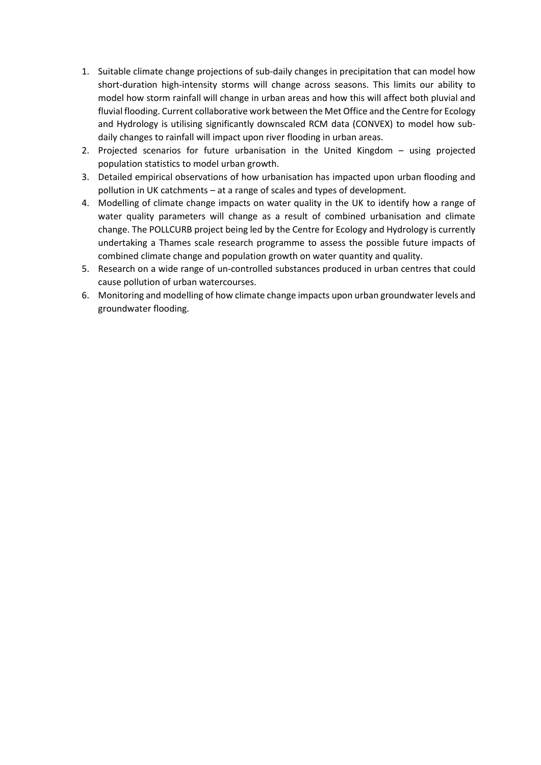- 1. Suitable climate change projections of sub-daily changes in precipitation that can model how short-duration high-intensity storms will change across seasons. This limits our ability to model how storm rainfall will change in urban areas and how this will affect both pluvial and fluvial flooding. Current collaborative work between the Met Office and the Centre for Ecology and Hydrology is utilising significantly downscaled RCM data (CONVEX) to model how subdaily changes to rainfall will impact upon river flooding in urban areas.
- 2. Projected scenarios for future urbanisation in the United Kingdom using projected population statistics to model urban growth.
- 3. Detailed empirical observations of how urbanisation has impacted upon urban flooding and pollution in UK catchments – at a range of scales and types of development.
- 4. Modelling of climate change impacts on water quality in the UK to identify how a range of water quality parameters will change as a result of combined urbanisation and climate change. The POLLCURB project being led by the Centre for Ecology and Hydrology is currently undertaking a Thames scale research programme to assess the possible future impacts of combined climate change and population growth on water quantity and quality.
- 5. Research on a wide range of un-controlled substances produced in urban centres that could cause pollution of urban watercourses.
- 6. Monitoring and modelling of how climate change impacts upon urban groundwater levels and groundwater flooding.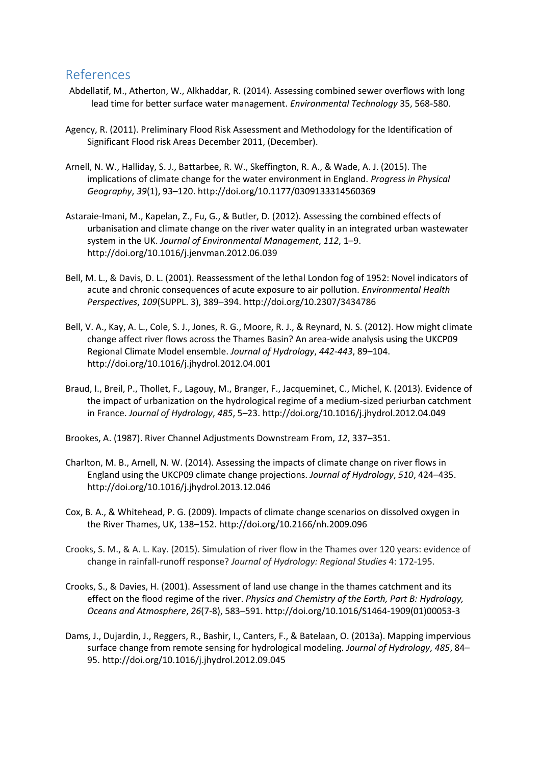## References

- Abdellatif, M., Atherton, W., Alkhaddar, R. (2014). Assessing combined sewer overflows with long lead time for better surface water management. *Environmental Technology* 35, 568-580.
- Agency, R. (2011). Preliminary Flood Risk Assessment and Methodology for the Identification of Significant Flood risk Areas December 2011, (December).
- Arnell, N. W., Halliday, S. J., Battarbee, R. W., Skeffington, R. A., & Wade, A. J. (2015). The implications of climate change for the water environment in England. *Progress in Physical Geography*, *39*(1), 93–120. http://doi.org/10.1177/0309133314560369
- Astaraie-Imani, M., Kapelan, Z., Fu, G., & Butler, D. (2012). Assessing the combined effects of urbanisation and climate change on the river water quality in an integrated urban wastewater system in the UK. *Journal of Environmental Management*, *112*, 1–9. http://doi.org/10.1016/j.jenvman.2012.06.039
- Bell, M. L., & Davis, D. L. (2001). Reassessment of the lethal London fog of 1952: Novel indicators of acute and chronic consequences of acute exposure to air pollution. *Environmental Health Perspectives*, *109*(SUPPL. 3), 389–394. http://doi.org/10.2307/3434786
- Bell, V. A., Kay, A. L., Cole, S. J., Jones, R. G., Moore, R. J., & Reynard, N. S. (2012). How might climate change affect river flows across the Thames Basin? An area-wide analysis using the UKCP09 Regional Climate Model ensemble. *Journal of Hydrology*, *442-443*, 89–104. http://doi.org/10.1016/j.jhydrol.2012.04.001
- Braud, I., Breil, P., Thollet, F., Lagouy, M., Branger, F., Jacqueminet, C., Michel, K. (2013). Evidence of the impact of urbanization on the hydrological regime of a medium-sized periurban catchment in France. *Journal of Hydrology*, *485*, 5–23. http://doi.org/10.1016/j.jhydrol.2012.04.049

Brookes, A. (1987). River Channel Adjustments Downstream From, *12*, 337–351.

- Charlton, M. B., Arnell, N. W. (2014). Assessing the impacts of climate change on river flows in England using the UKCP09 climate change projections. *Journal of Hydrology*, *510*, 424–435. http://doi.org/10.1016/j.jhydrol.2013.12.046
- Cox, B. A., & Whitehead, P. G. (2009). Impacts of climate change scenarios on dissolved oxygen in the River Thames, UK, 138–152. http://doi.org/10.2166/nh.2009.096
- Crooks, S. M., & A. L. Kay. (2015). Simulation of river flow in the Thames over 120 years: evidence of change in rainfall-runoff response? *Journal of Hydrology: Regional Studies* 4: 172-195.
- Crooks, S., & Davies, H. (2001). Assessment of land use change in the thames catchment and its effect on the flood regime of the river. *Physics and Chemistry of the Earth, Part B: Hydrology, Oceans and Atmosphere*, *26*(7-8), 583–591. http://doi.org/10.1016/S1464-1909(01)00053-3
- Dams, J., Dujardin, J., Reggers, R., Bashir, I., Canters, F., & Batelaan, O. (2013a). Mapping impervious surface change from remote sensing for hydrological modeling. *Journal of Hydrology*, *485*, 84– 95. http://doi.org/10.1016/j.jhydrol.2012.09.045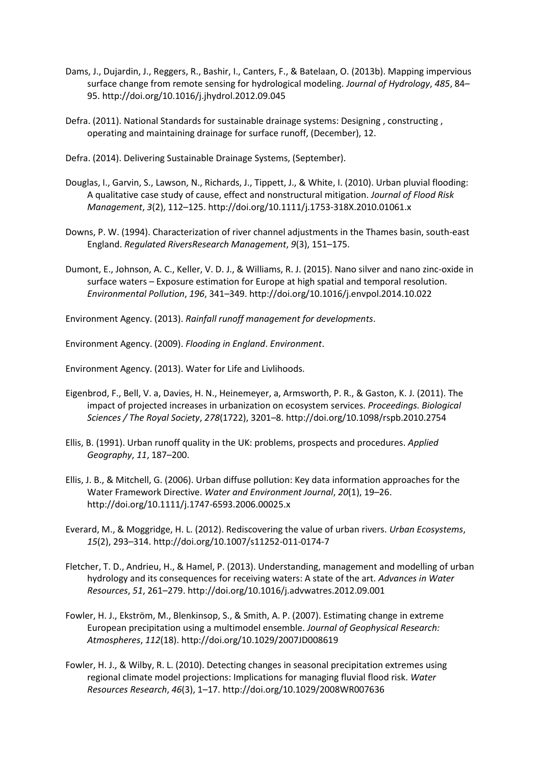- Dams, J., Dujardin, J., Reggers, R., Bashir, I., Canters, F., & Batelaan, O. (2013b). Mapping impervious surface change from remote sensing for hydrological modeling. *Journal of Hydrology*, *485*, 84– 95. http://doi.org/10.1016/j.jhydrol.2012.09.045
- Defra. (2011). National Standards for sustainable drainage systems: Designing , constructing , operating and maintaining drainage for surface runoff, (December), 12.
- Defra. (2014). Delivering Sustainable Drainage Systems, (September).
- Douglas, I., Garvin, S., Lawson, N., Richards, J., Tippett, J., & White, I. (2010). Urban pluvial flooding: A qualitative case study of cause, effect and nonstructural mitigation. *Journal of Flood Risk Management*, *3*(2), 112–125. http://doi.org/10.1111/j.1753-318X.2010.01061.x
- Downs, P. W. (1994). Characterization of river channel adjustments in the Thames basin, south-east England. *Regulated RiversResearch Management*, *9*(3), 151–175.
- Dumont, E., Johnson, A. C., Keller, V. D. J., & Williams, R. J. (2015). Nano silver and nano zinc-oxide in surface waters – Exposure estimation for Europe at high spatial and temporal resolution. *Environmental Pollution*, *196*, 341–349. http://doi.org/10.1016/j.envpol.2014.10.022

Environment Agency. (2013). *Rainfall runoff management for developments*.

Environment Agency. (2009). *Flooding in England*. *Environment*.

Environment Agency. (2013). Water for Life and Livlihoods.

- Eigenbrod, F., Bell, V. a, Davies, H. N., Heinemeyer, a, Armsworth, P. R., & Gaston, K. J. (2011). The impact of projected increases in urbanization on ecosystem services. *Proceedings. Biological Sciences / The Royal Society*, *278*(1722), 3201–8. http://doi.org/10.1098/rspb.2010.2754
- Ellis, B. (1991). Urban runoff quality in the UK: problems, prospects and procedures. *Applied Geography*, *11*, 187–200.
- Ellis, J. B., & Mitchell, G. (2006). Urban diffuse pollution: Key data information approaches for the Water Framework Directive. *Water and Environment Journal*, *20*(1), 19–26. http://doi.org/10.1111/j.1747-6593.2006.00025.x
- Everard, M., & Moggridge, H. L. (2012). Rediscovering the value of urban rivers. *Urban Ecosystems*, *15*(2), 293–314. http://doi.org/10.1007/s11252-011-0174-7
- Fletcher, T. D., Andrieu, H., & Hamel, P. (2013). Understanding, management and modelling of urban hydrology and its consequences for receiving waters: A state of the art. *Advances in Water Resources*, *51*, 261–279. http://doi.org/10.1016/j.advwatres.2012.09.001
- Fowler, H. J., Ekström, M., Blenkinsop, S., & Smith, A. P. (2007). Estimating change in extreme European precipitation using a multimodel ensemble. *Journal of Geophysical Research: Atmospheres*, *112*(18). http://doi.org/10.1029/2007JD008619
- Fowler, H. J., & Wilby, R. L. (2010). Detecting changes in seasonal precipitation extremes using regional climate model projections: Implications for managing fluvial flood risk. *Water Resources Research*, *46*(3), 1–17. http://doi.org/10.1029/2008WR007636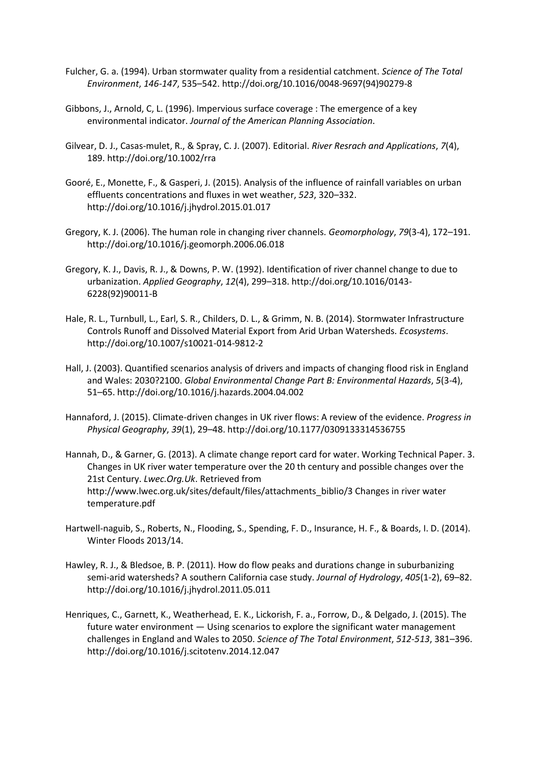- Fulcher, G. a. (1994). Urban stormwater quality from a residential catchment. *Science of The Total Environment*, *146-147*, 535–542. http://doi.org/10.1016/0048-9697(94)90279-8
- Gibbons, J., Arnold, C, L. (1996). Impervious surface coverage : The emergence of a key environmental indicator. *Journal of the American Planning Association*.
- Gilvear, D. J., Casas-mulet, R., & Spray, C. J. (2007). Editorial. *River Resrach and Applications*, *7*(4), 189. http://doi.org/10.1002/rra
- Gooré, E., Monette, F., & Gasperi, J. (2015). Analysis of the influence of rainfall variables on urban effluents concentrations and fluxes in wet weather, *523*, 320–332. http://doi.org/10.1016/j.jhydrol.2015.01.017
- Gregory, K. J. (2006). The human role in changing river channels. *Geomorphology*, *79*(3-4), 172–191. http://doi.org/10.1016/j.geomorph.2006.06.018
- Gregory, K. J., Davis, R. J., & Downs, P. W. (1992). Identification of river channel change to due to urbanization. *Applied Geography*, *12*(4), 299–318. http://doi.org/10.1016/0143- 6228(92)90011-B
- Hale, R. L., Turnbull, L., Earl, S. R., Childers, D. L., & Grimm, N. B. (2014). Stormwater Infrastructure Controls Runoff and Dissolved Material Export from Arid Urban Watersheds. *Ecosystems*. http://doi.org/10.1007/s10021-014-9812-2
- Hall, J. (2003). Quantified scenarios analysis of drivers and impacts of changing flood risk in England and Wales: 2030?2100. *Global Environmental Change Part B: Environmental Hazards*, *5*(3-4), 51–65. http://doi.org/10.1016/j.hazards.2004.04.002
- Hannaford, J. (2015). Climate-driven changes in UK river flows: A review of the evidence. *Progress in Physical Geography*, *39*(1), 29–48. http://doi.org/10.1177/0309133314536755
- Hannah, D., & Garner, G. (2013). A climate change report card for water. Working Technical Paper. 3. Changes in UK river water temperature over the 20 th century and possible changes over the 21st Century. *Lwec.Org.Uk*. Retrieved from http://www.lwec.org.uk/sites/default/files/attachments\_biblio/3 Changes in river water temperature.pdf
- Hartwell-naguib, S., Roberts, N., Flooding, S., Spending, F. D., Insurance, H. F., & Boards, I. D. (2014). Winter Floods 2013/14.
- Hawley, R. J., & Bledsoe, B. P. (2011). How do flow peaks and durations change in suburbanizing semi-arid watersheds? A southern California case study. *Journal of Hydrology*, *405*(1-2), 69–82. http://doi.org/10.1016/j.jhydrol.2011.05.011
- Henriques, C., Garnett, K., Weatherhead, E. K., Lickorish, F. a., Forrow, D., & Delgado, J. (2015). The future water environment — Using scenarios to explore the significant water management challenges in England and Wales to 2050. *Science of The Total Environment*, *512-513*, 381–396. http://doi.org/10.1016/j.scitotenv.2014.12.047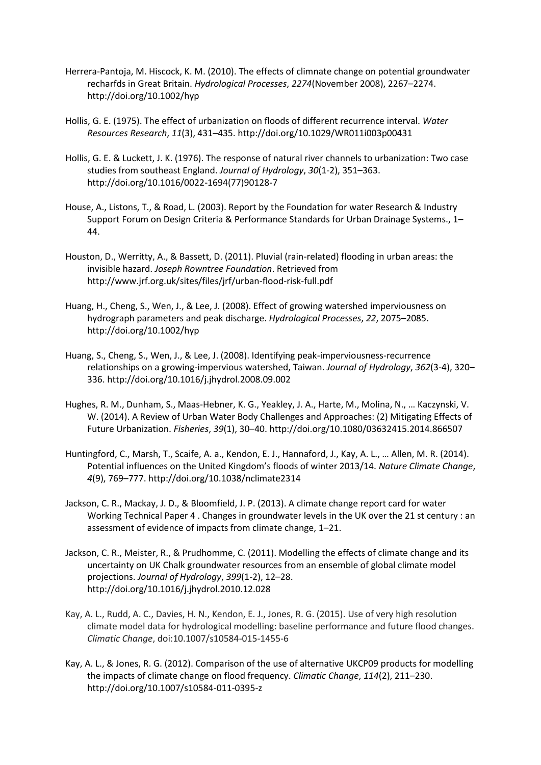- Herrera-Pantoja, M. Hiscock, K. M. (2010). The effects of climnate change on potential groundwater recharfds in Great Britain. *Hydrological Processes*, *2274*(November 2008), 2267–2274. http://doi.org/10.1002/hyp
- Hollis, G. E. (1975). The effect of urbanization on floods of different recurrence interval. *Water Resources Research*, *11*(3), 431–435. http://doi.org/10.1029/WR011i003p00431
- Hollis, G. E. & Luckett, J. K. (1976). The response of natural river channels to urbanization: Two case studies from southeast England. *Journal of Hydrology*, *30*(1-2), 351–363. http://doi.org/10.1016/0022-1694(77)90128-7
- House, A., Listons, T., & Road, L. (2003). Report by the Foundation for water Research & Industry Support Forum on Design Criteria & Performance Standards for Urban Drainage Systems., 1– 44.
- Houston, D., Werritty, A., & Bassett, D. (2011). Pluvial (rain-related) flooding in urban areas: the invisible hazard. *Joseph Rowntree Foundation*. Retrieved from http://www.jrf.org.uk/sites/files/jrf/urban-flood-risk-full.pdf
- Huang, H., Cheng, S., Wen, J., & Lee, J. (2008). Effect of growing watershed imperviousness on hydrograph parameters and peak discharge. *Hydrological Processes*, *22*, 2075–2085. http://doi.org/10.1002/hyp
- Huang, S., Cheng, S., Wen, J., & Lee, J. (2008). Identifying peak-imperviousness-recurrence relationships on a growing-impervious watershed, Taiwan. *Journal of Hydrology*, *362*(3-4), 320– 336. http://doi.org/10.1016/j.jhydrol.2008.09.002
- Hughes, R. M., Dunham, S., Maas-Hebner, K. G., Yeakley, J. A., Harte, M., Molina, N., … Kaczynski, V. W. (2014). A Review of Urban Water Body Challenges and Approaches: (2) Mitigating Effects of Future Urbanization. *Fisheries*, *39*(1), 30–40. http://doi.org/10.1080/03632415.2014.866507
- Huntingford, C., Marsh, T., Scaife, A. a., Kendon, E. J., Hannaford, J., Kay, A. L., … Allen, M. R. (2014). Potential influences on the United Kingdom's floods of winter 2013/14. *Nature Climate Change*, *4*(9), 769–777. http://doi.org/10.1038/nclimate2314
- Jackson, C. R., Mackay, J. D., & Bloomfield, J. P. (2013). A climate change report card for water Working Technical Paper 4 . Changes in groundwater levels in the UK over the 21 st century : an assessment of evidence of impacts from climate change, 1–21.
- Jackson, C. R., Meister, R., & Prudhomme, C. (2011). Modelling the effects of climate change and its uncertainty on UK Chalk groundwater resources from an ensemble of global climate model projections. *Journal of Hydrology*, *399*(1-2), 12–28. http://doi.org/10.1016/j.jhydrol.2010.12.028
- Kay, A. L., Rudd, A. C., Davies, H. N., Kendon, E. J., Jones, R. G. (2015). Use of very high resolution climate model data for hydrological modelling: baseline performance and future flood changes. *Climatic Change*, doi:10.1007/s10584-015-1455-6
- Kay, A. L., & Jones, R. G. (2012). Comparison of the use of alternative UKCP09 products for modelling the impacts of climate change on flood frequency. *Climatic Change*, *114*(2), 211–230. http://doi.org/10.1007/s10584-011-0395-z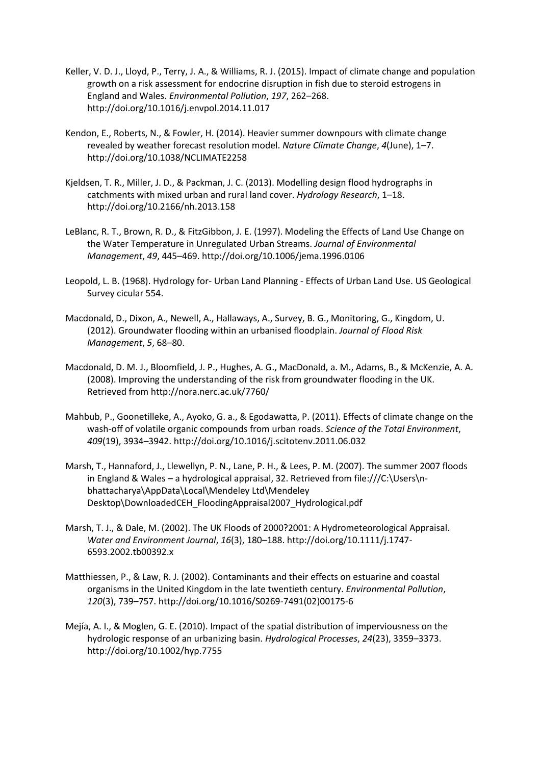- Keller, V. D. J., Lloyd, P., Terry, J. A., & Williams, R. J. (2015). Impact of climate change and population growth on a risk assessment for endocrine disruption in fish due to steroid estrogens in England and Wales. *Environmental Pollution*, *197*, 262–268. http://doi.org/10.1016/j.envpol.2014.11.017
- Kendon, E., Roberts, N., & Fowler, H. (2014). Heavier summer downpours with climate change revealed by weather forecast resolution model. *Nature Climate Change*, *4*(June), 1–7. http://doi.org/10.1038/NCLIMATE2258
- Kjeldsen, T. R., Miller, J. D., & Packman, J. C. (2013). Modelling design flood hydrographs in catchments with mixed urban and rural land cover. *Hydrology Research*, 1–18. http://doi.org/10.2166/nh.2013.158
- LeBlanc, R. T., Brown, R. D., & FitzGibbon, J. E. (1997). Modeling the Effects of Land Use Change on the Water Temperature in Unregulated Urban Streams. *Journal of Environmental Management*, *49*, 445–469. http://doi.org/10.1006/jema.1996.0106
- Leopold, L. B. (1968). Hydrology for- Urban Land Planning Effects of Urban Land Use. US Geological Survey cicular 554.
- Macdonald, D., Dixon, A., Newell, A., Hallaways, A., Survey, B. G., Monitoring, G., Kingdom, U. (2012). Groundwater flooding within an urbanised floodplain. *Journal of Flood Risk Management*, *5*, 68–80.
- Macdonald, D. M. J., Bloomfield, J. P., Hughes, A. G., MacDonald, a. M., Adams, B., & McKenzie, A. A. (2008). Improving the understanding of the risk from groundwater flooding in the UK. Retrieved from http://nora.nerc.ac.uk/7760/
- Mahbub, P., Goonetilleke, A., Ayoko, G. a., & Egodawatta, P. (2011). Effects of climate change on the wash-off of volatile organic compounds from urban roads. *Science of the Total Environment*, *409*(19), 3934–3942. http://doi.org/10.1016/j.scitotenv.2011.06.032
- Marsh, T., Hannaford, J., Llewellyn, P. N., Lane, P. H., & Lees, P. M. (2007). The summer 2007 floods in England & Wales – a hydrological appraisal, 32. Retrieved from file:///C:\Users\nbhattacharya\AppData\Local\Mendeley Ltd\Mendeley Desktop\DownloadedCEH\_FloodingAppraisal2007\_Hydrological.pdf
- Marsh, T. J., & Dale, M. (2002). The UK Floods of 2000?2001: A Hydrometeorological Appraisal. *Water and Environment Journal*, *16*(3), 180–188. http://doi.org/10.1111/j.1747- 6593.2002.tb00392.x
- Matthiessen, P., & Law, R. J. (2002). Contaminants and their effects on estuarine and coastal organisms in the United Kingdom in the late twentieth century. *Environmental Pollution*, *120*(3), 739–757. http://doi.org/10.1016/S0269-7491(02)00175-6
- Mejía, A. I., & Moglen, G. E. (2010). Impact of the spatial distribution of imperviousness on the hydrologic response of an urbanizing basin. *Hydrological Processes*, *24*(23), 3359–3373. http://doi.org/10.1002/hyp.7755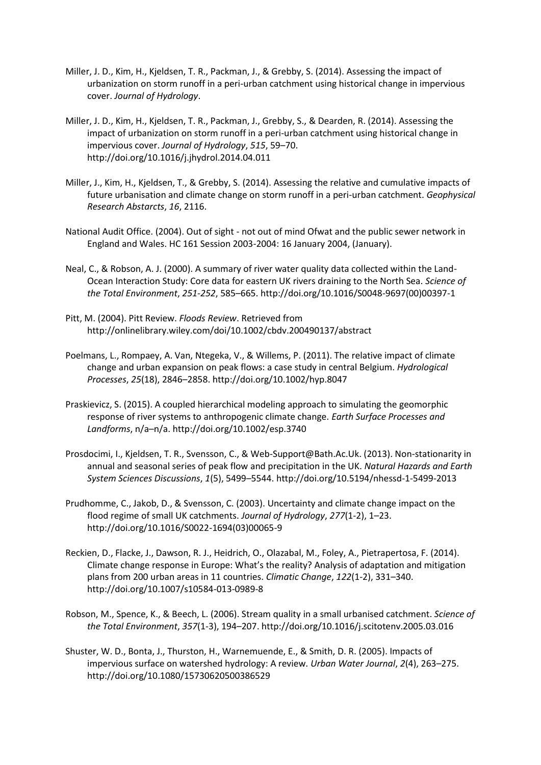- Miller, J. D., Kim, H., Kjeldsen, T. R., Packman, J., & Grebby, S. (2014). Assessing the impact of urbanization on storm runoff in a peri-urban catchment using historical change in impervious cover. *Journal of Hydrology*.
- Miller, J. D., Kim, H., Kjeldsen, T. R., Packman, J., Grebby, S., & Dearden, R. (2014). Assessing the impact of urbanization on storm runoff in a peri-urban catchment using historical change in impervious cover. *Journal of Hydrology*, *515*, 59–70. http://doi.org/10.1016/j.jhydrol.2014.04.011
- Miller, J., Kim, H., Kjeldsen, T., & Grebby, S. (2014). Assessing the relative and cumulative impacts of future urbanisation and climate change on storm runoff in a peri-urban catchment. *Geophysical Research Abstarcts*, *16*, 2116.
- National Audit Office. (2004). Out of sight not out of mind Ofwat and the public sewer network in England and Wales. HC 161 Session 2003-2004: 16 January 2004, (January).
- Neal, C., & Robson, A. J. (2000). A summary of river water quality data collected within the Land-Ocean Interaction Study: Core data for eastern UK rivers draining to the North Sea. *Science of the Total Environment*, *251-252*, 585–665. http://doi.org/10.1016/S0048-9697(00)00397-1
- Pitt, M. (2004). Pitt Review. *Floods Review*. Retrieved from http://onlinelibrary.wiley.com/doi/10.1002/cbdv.200490137/abstract
- Poelmans, L., Rompaey, A. Van, Ntegeka, V., & Willems, P. (2011). The relative impact of climate change and urban expansion on peak flows: a case study in central Belgium. *Hydrological Processes*, *25*(18), 2846–2858. http://doi.org/10.1002/hyp.8047
- Praskievicz, S. (2015). A coupled hierarchical modeling approach to simulating the geomorphic response of river systems to anthropogenic climate change. *Earth Surface Processes and Landforms*, n/a–n/a. http://doi.org/10.1002/esp.3740
- Prosdocimi, I., Kjeldsen, T. R., Svensson, C., & Web-Support@Bath.Ac.Uk. (2013). Non-stationarity in annual and seasonal series of peak flow and precipitation in the UK. *Natural Hazards and Earth System Sciences Discussions*, *1*(5), 5499–5544. http://doi.org/10.5194/nhessd-1-5499-2013
- Prudhomme, C., Jakob, D., & Svensson, C. (2003). Uncertainty and climate change impact on the flood regime of small UK catchments. *Journal of Hydrology*, *277*(1-2), 1–23. http://doi.org/10.1016/S0022-1694(03)00065-9
- Reckien, D., Flacke, J., Dawson, R. J., Heidrich, O., Olazabal, M., Foley, A., Pietrapertosa, F. (2014). Climate change response in Europe: What's the reality? Analysis of adaptation and mitigation plans from 200 urban areas in 11 countries. *Climatic Change*, *122*(1-2), 331–340. http://doi.org/10.1007/s10584-013-0989-8
- Robson, M., Spence, K., & Beech, L. (2006). Stream quality in a small urbanised catchment. *Science of the Total Environment*, *357*(1-3), 194–207. http://doi.org/10.1016/j.scitotenv.2005.03.016
- Shuster, W. D., Bonta, J., Thurston, H., Warnemuende, E., & Smith, D. R. (2005). Impacts of impervious surface on watershed hydrology: A review. *Urban Water Journal*, *2*(4), 263–275. http://doi.org/10.1080/15730620500386529